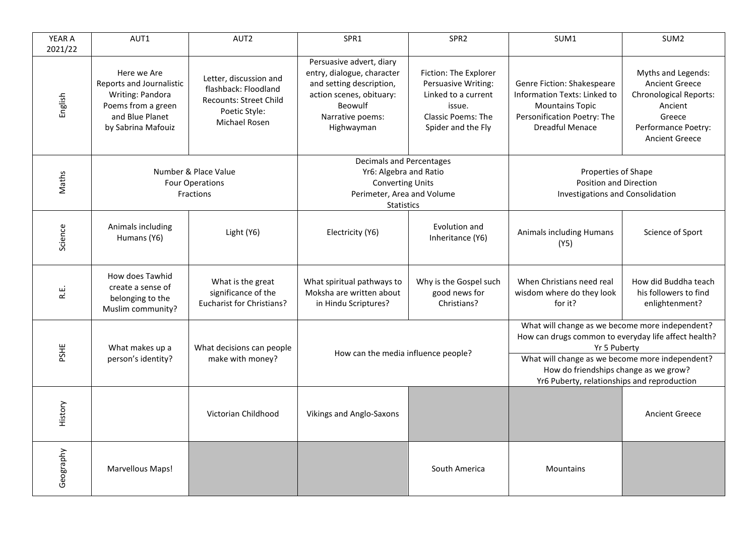| YEAR A<br>2021/22 | AUT1                                                                                                                       | AUT <sub>2</sub>                                                                                           | SPR1                                                                                                                                                        | SPR <sub>2</sub>                                                                                                                 | SUM1                                                                                                                                                                                                                                                               | SUM <sub>2</sub>                                                                                                                                  |
|-------------------|----------------------------------------------------------------------------------------------------------------------------|------------------------------------------------------------------------------------------------------------|-------------------------------------------------------------------------------------------------------------------------------------------------------------|----------------------------------------------------------------------------------------------------------------------------------|--------------------------------------------------------------------------------------------------------------------------------------------------------------------------------------------------------------------------------------------------------------------|---------------------------------------------------------------------------------------------------------------------------------------------------|
| English           | Here we Are<br>Reports and Journalistic<br>Writing: Pandora<br>Poems from a green<br>and Blue Planet<br>by Sabrina Mafouiz | Letter, discussion and<br>flashback: Floodland<br>Recounts: Street Child<br>Poetic Style:<br>Michael Rosen | Persuasive advert, diary<br>entry, dialogue, character<br>and setting description,<br>action scenes, obituary:<br>Beowulf<br>Narrative poems:<br>Highwayman | Fiction: The Explorer<br>Persuasive Writing:<br>Linked to a current<br>issue.<br><b>Classic Poems: The</b><br>Spider and the Fly | Genre Fiction: Shakespeare<br>Information Texts: Linked to<br><b>Mountains Topic</b><br>Personification Poetry: The<br>Dreadful Menace                                                                                                                             | Myths and Legends:<br><b>Ancient Greece</b><br><b>Chronological Reports:</b><br>Ancient<br>Greece<br>Performance Poetry:<br><b>Ancient Greece</b> |
| Maths             | Number & Place Value<br><b>Four Operations</b><br>Fractions                                                                |                                                                                                            | Decimals and Percentages<br>Yr6: Algebra and Ratio<br><b>Converting Units</b><br>Perimeter, Area and Volume<br><b>Statistics</b>                            |                                                                                                                                  | Properties of Shape<br><b>Position and Direction</b><br>Investigations and Consolidation                                                                                                                                                                           |                                                                                                                                                   |
| Science           | Animals including<br>Humans (Y6)                                                                                           | Light (Y6)                                                                                                 | Electricity (Y6)                                                                                                                                            | Evolution and<br>Inheritance (Y6)                                                                                                | <b>Animals including Humans</b><br>(Y5)                                                                                                                                                                                                                            | Science of Sport                                                                                                                                  |
| R.L.              | How does Tawhid<br>create a sense of<br>belonging to the<br>Muslim community?                                              | What is the great<br>significance of the<br>Eucharist for Christians?                                      | What spiritual pathways to<br>Moksha are written about<br>in Hindu Scriptures?                                                                              | Why is the Gospel such<br>good news for<br>Christians?                                                                           | When Christians need real<br>wisdom where do they look<br>for it?                                                                                                                                                                                                  | How did Buddha teach<br>his followers to find<br>enlightenment?                                                                                   |
| PSHE              | What makes up a<br>person's identity?                                                                                      | What decisions can people<br>make with money?                                                              | How can the media influence people?                                                                                                                         |                                                                                                                                  | What will change as we become more independent?<br>How can drugs common to everyday life affect health?<br>Yr 5 Puberty<br>What will change as we become more independent?<br>How do friendships change as we grow?<br>Yr6 Puberty, relationships and reproduction |                                                                                                                                                   |
| History           |                                                                                                                            | Victorian Childhood                                                                                        | <b>Vikings and Anglo-Saxons</b>                                                                                                                             |                                                                                                                                  |                                                                                                                                                                                                                                                                    | <b>Ancient Greece</b>                                                                                                                             |
| Geography         | <b>Marvellous Maps!</b>                                                                                                    |                                                                                                            |                                                                                                                                                             | South America                                                                                                                    | <b>Mountains</b>                                                                                                                                                                                                                                                   |                                                                                                                                                   |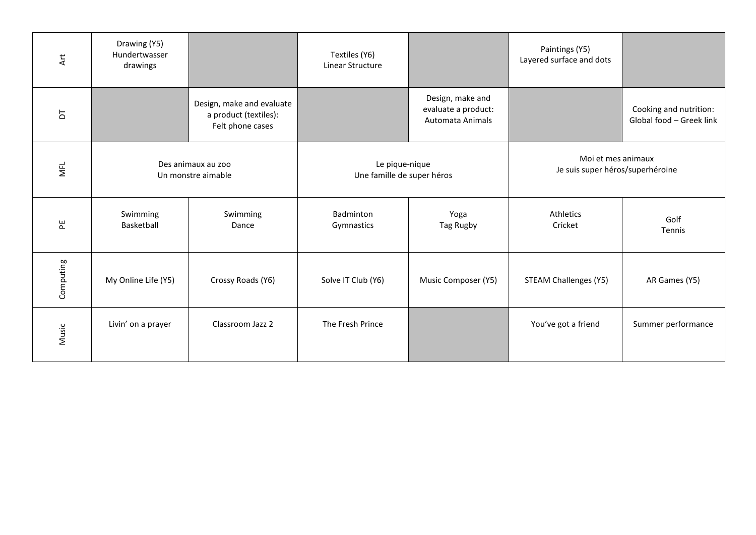| $\overline{A}$ rt | Drawing (Y5)<br>Hundertwasser<br>drawings |                                                                        | Textiles (Y6)<br>Linear Structure            |                                                             | Paintings (Y5)<br>Layered surface and dots             |                                                    |
|-------------------|-------------------------------------------|------------------------------------------------------------------------|----------------------------------------------|-------------------------------------------------------------|--------------------------------------------------------|----------------------------------------------------|
| $\overline{a}$    |                                           | Design, make and evaluate<br>a product (textiles):<br>Felt phone cases |                                              | Design, make and<br>evaluate a product:<br>Automata Animals |                                                        | Cooking and nutrition:<br>Global food - Greek link |
| MFL               | Des animaux au zoo<br>Un monstre aimable  |                                                                        | Le pique-nique<br>Une famille de super héros |                                                             | Moi et mes animaux<br>Je suis super héros/superhéroine |                                                    |
| 뷘                 | Swimming<br>Basketball                    | Swimming<br>Dance                                                      | Badminton<br>Gymnastics                      | Yoga<br>Tag Rugby                                           | Athletics<br>Cricket                                   | Golf<br>Tennis                                     |
| Computing         | My Online Life (Y5)                       | Crossy Roads (Y6)                                                      | Solve IT Club (Y6)                           | Music Composer (Y5)                                         | <b>STEAM Challenges (Y5)</b>                           | AR Games (Y5)                                      |
| Music             | Livin' on a prayer                        | Classroom Jazz 2                                                       | The Fresh Prince                             |                                                             | You've got a friend                                    | Summer performance                                 |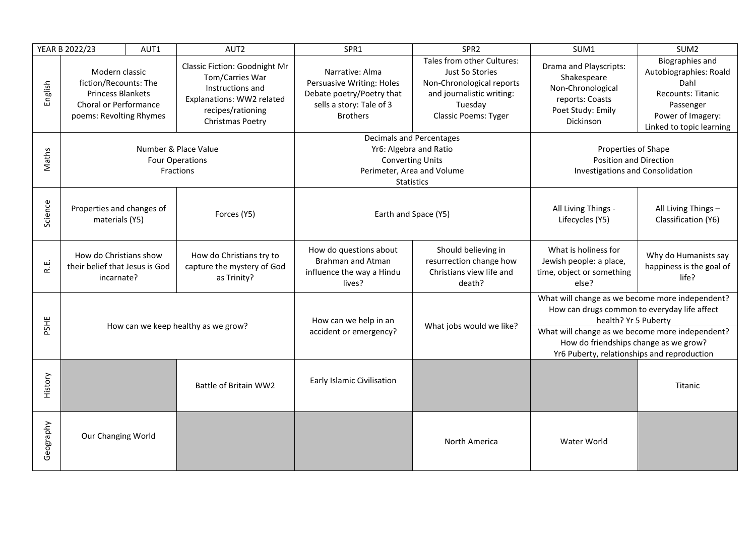|           | YEAR B 2022/23                                                                                                          | AUT1 | AUT2                                                                                                                                              | SPR1                                                                                                                             | SPR <sub>2</sub>                                                                                                                                                                                                                                                   | SUM1                                                                                                            | SUM <sub>2</sub>                                                                                                                     |
|-----------|-------------------------------------------------------------------------------------------------------------------------|------|---------------------------------------------------------------------------------------------------------------------------------------------------|----------------------------------------------------------------------------------------------------------------------------------|--------------------------------------------------------------------------------------------------------------------------------------------------------------------------------------------------------------------------------------------------------------------|-----------------------------------------------------------------------------------------------------------------|--------------------------------------------------------------------------------------------------------------------------------------|
| English   | Modern classic<br>fiction/Recounts: The<br><b>Princess Blankets</b><br>Choral or Performance<br>poems: Revolting Rhymes |      | <b>Classic Fiction: Goodnight Mr</b><br>Tom/Carries War<br>Instructions and<br>Explanations: WW2 related<br>recipes/rationing<br>Christmas Poetry | Narrative: Alma<br>Persuasive Writing: Holes<br>Debate poetry/Poetry that<br>sells a story: Tale of 3<br><b>Brothers</b>         | Tales from other Cultures:<br>Just So Stories<br>Non-Chronological reports<br>and journalistic writing:<br>Tuesday<br><b>Classic Poems: Tyger</b>                                                                                                                  | Drama and Playscripts:<br>Shakespeare<br>Non-Chronological<br>reports: Coasts<br>Poet Study: Emily<br>Dickinson | Biographies and<br>Autobiographies: Roald<br>Dahl<br>Recounts: Titanic<br>Passenger<br>Power of Imagery:<br>Linked to topic learning |
| Maths     | Number & Place Value<br><b>Four Operations</b><br>Fractions                                                             |      |                                                                                                                                                   | Decimals and Percentages<br>Yr6: Algebra and Ratio<br><b>Converting Units</b><br>Perimeter, Area and Volume<br><b>Statistics</b> |                                                                                                                                                                                                                                                                    | Properties of Shape<br><b>Position and Direction</b><br>Investigations and Consolidation                        |                                                                                                                                      |
| Science   | Properties and changes of<br>materials (Y5)                                                                             |      | Forces (Y5)                                                                                                                                       | Earth and Space (Y5)                                                                                                             |                                                                                                                                                                                                                                                                    | All Living Things -<br>Lifecycles (Y5)                                                                          | All Living Things -<br>Classification (Y6)                                                                                           |
| ن<br>غ    | How do Christians show<br>their belief that Jesus is God<br>incarnate?                                                  |      | How do Christians try to<br>capture the mystery of God<br>as Trinity?                                                                             | How do questions about<br><b>Brahman and Atman</b><br>influence the way a Hindu<br>lives?                                        | Should believing in<br>resurrection change how<br>Christians view life and<br>death?                                                                                                                                                                               | What is holiness for<br>Jewish people: a place,<br>time, object or something<br>else?                           | Why do Humanists say<br>happiness is the goal of<br>life?                                                                            |
| PSHE      | How can we keep healthy as we grow?                                                                                     |      | How can we help in an<br>accident or emergency?                                                                                                   | What jobs would we like?                                                                                                         | What will change as we become more independent?<br>How can drugs common to everyday life affect<br>health? Yr 5 Puberty<br>What will change as we become more independent?<br>How do friendships change as we grow?<br>Yr6 Puberty, relationships and reproduction |                                                                                                                 |                                                                                                                                      |
| History   |                                                                                                                         |      | Battle of Britain WW2                                                                                                                             | Early Islamic Civilisation                                                                                                       |                                                                                                                                                                                                                                                                    |                                                                                                                 | Titanic                                                                                                                              |
| Geography | Our Changing World                                                                                                      |      |                                                                                                                                                   |                                                                                                                                  | North America                                                                                                                                                                                                                                                      | Water World                                                                                                     |                                                                                                                                      |